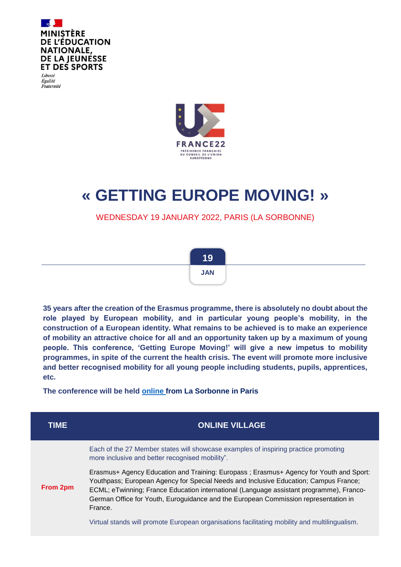

Liberté Égalité Fraternité



# **« GETTING EUROPE MOVING! »**

WEDNESDAY 19 JANUARY 2022, PARIS (LA SORBONNE)



**35 years after the creation of the Erasmus programme, there is absolutely no doubt about the role played by European mobility, and in particular young people's mobility, in the construction of a European identity. What remains to be achieved is to make an experience of mobility an attractive choice for all and an opportunity taken up by a maximum of young people. This conference, 'Getting Europe Moving!' will give a new impetus to mobility programmes, in spite of the current the health crisis. The event will promote more inclusive and better recognised mobility for all young people including students, pupils, apprentices, etc.**

**The conference will be held [online](https://www.education.gouv.fr/osons-la-mobilite-326767) from La Sorbonne in Paris**

| TIME     | <b>ONLINE VILLAGE</b>                                                                                                                                                                                                                                                                                                                                                       |
|----------|-----------------------------------------------------------------------------------------------------------------------------------------------------------------------------------------------------------------------------------------------------------------------------------------------------------------------------------------------------------------------------|
| From 2pm | Each of the 27 Member states will showcase examples of inspiring practice promoting<br>more inclusive and better recognised mobility".                                                                                                                                                                                                                                      |
|          | Erasmus+ Agency Education and Training: Europass; Erasmus+ Agency for Youth and Sport:<br>Youthpass; European Agency for Special Needs and Inclusive Education; Campus France;<br>ECML; eTwinning; France Education international (Language assistant programme), Franco-<br>German Office for Youth, Euroguidance and the European Commission representation in<br>France. |
|          | Virtual stands will promote European organisations facilitating mobility and multilingualism.                                                                                                                                                                                                                                                                               |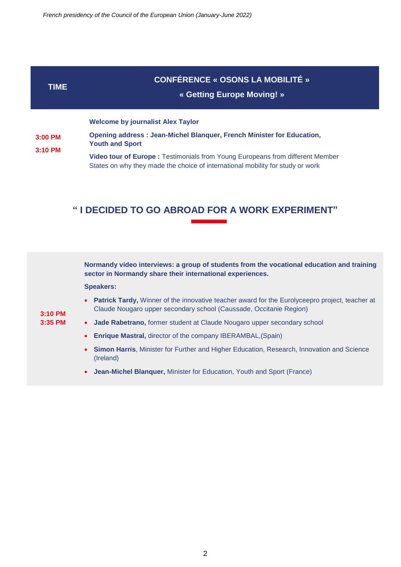### **TIME**

## **CONFÉRENCE « OSONS LA MOBILITÉ »**

### **« Getting Europe Moving! »**

#### **Welcome by journalist Alex Taylor**

**3:00 PM 3:10 PM Opening address : Jean-Michel Blanquer, French Minister for Education, Youth and Sport**

**Video tour of Europe :** Testimonials from Young Europeans from different Member States on why they made the choice of international mobility for study or work

## **" I DECIDED TO GO ABROAD FOR A WORK EXPERIMENT"**

| 3:10 PM<br>$3:35$ PM | Normandy video interviews: a group of students from the vocational education and training<br>sector in Normandy share their international experiences.                 |
|----------------------|------------------------------------------------------------------------------------------------------------------------------------------------------------------------|
|                      | <b>Speakers:</b>                                                                                                                                                       |
|                      | • Patrick Tardy, Winner of the innovative teacher award for the Eurolyceepro project, teacher at<br>Claude Nougaro upper secondary school (Caussade, Occitanie Region) |
|                      | <b>Jade Rabetrano, former student at Claude Nougaro upper secondary school</b><br>$\bullet$                                                                            |
|                      | <b>Enrique Mastral, director of the company IBERAMBAL, (Spain)</b>                                                                                                     |
|                      | Simon Harris, Minister for Further and Higher Education, Research, Innovation and Science<br>(Ireland)                                                                 |
|                      | <b>Jean-Michel Blanquer, Minister for Education, Youth and Sport (France)</b>                                                                                          |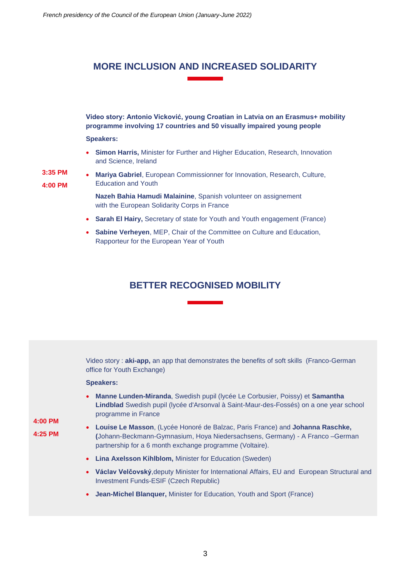# **MORE INCLUSION AND INCREASED SOLIDARITY**

**Video story: Antonio Vicković, young Croatian in Latvia on an Erasmus+ mobility programme involving 17 countries and 50 visually impaired young people**

#### **Speakers:**

 **Simon Harris,** Minister for Further and Higher Education, Research, Innovation and Science, Ireland

**3:35 PM 4:00 PM**

 **Mariya Gabriel**, European Commissionner for Innovation, Research, Culture, Education and Youth

**Nazeh Bahia Hamudi Malainine**, Spanish volunteer on assignement with the European Solidarity Corps in France

- **Sarah El Hairy,** Secretary of state for Youth and Youth engagement (France)
- **Sabine Verheyen**, MEP, Chair of the Committee on Culture and Education, Rapporteur for the European Year of Youth

## **BETTER RECOGNISED MOBILITY**